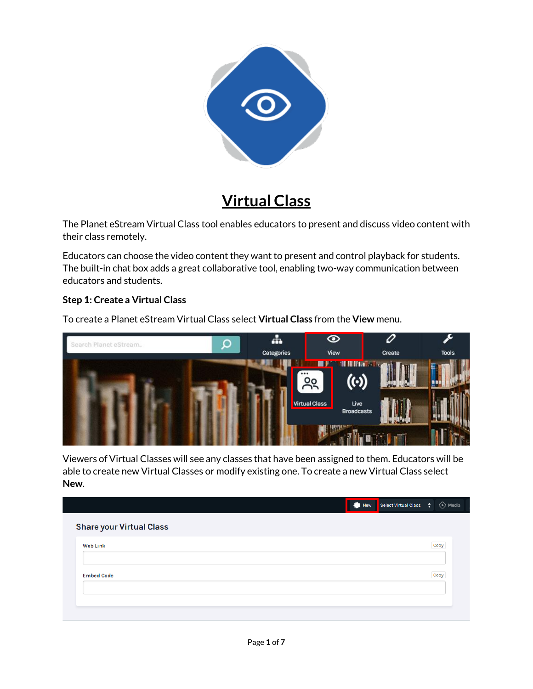

# **Virtual Class**

The Planet eStream Virtual Class tool enables educators to present and discuss video content with their class remotely.

Educators can choose the video content they want to present and control playback for students. The built-in chat box adds a great collaborative tool, enabling two-way communication between educators and students.

## **Step 1: Create a Virtual Class**

To create a Planet eStream Virtual Class select **Virtual Class** from the **View** menu.



Viewers of Virtual Classes will see any classes that have been assigned to them. Educators will be able to create new Virtual Classes or modify existing one. To create a new Virtual Class select **New**.

| <b>Share your Virtual Class</b> |  |      |
|---------------------------------|--|------|
| <b>Web Link</b>                 |  | Copy |
| <b>Embed Code</b>               |  | Copy |
|                                 |  |      |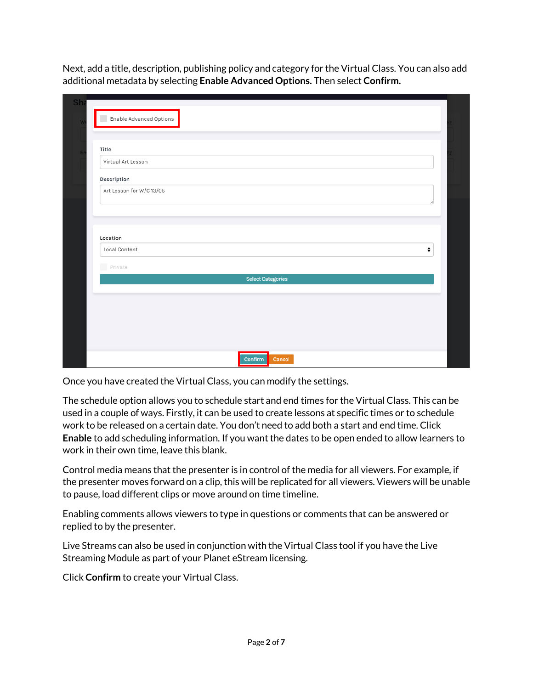Next, add a title, description, publishing policy and category for the Virtual Class. You can also add additional metadata by selecting **Enable Advanced Options.** Then select **Confirm.**

| Title<br>Virtual Art Lesson |                          |   |
|-----------------------------|--------------------------|---|
| Description                 |                          |   |
| Art Lesson for W/C 13/05    |                          |   |
|                             |                          |   |
|                             |                          |   |
| Location                    |                          |   |
| Local Content               |                          | ÷ |
| Private                     |                          |   |
|                             | <b>Select Categories</b> |   |
|                             |                          |   |

Once you have created the Virtual Class, you can modify the settings.

The schedule option allows you to schedule start and end times for the Virtual Class. This can be used in a couple of ways. Firstly, it can be used to create lessons at specific times or to schedule work to be released on a certain date. You don't need to add both a start and end time. Click **Enable** to add scheduling information. If you want the dates to be open ended to allow learners to work in their own time, leave this blank.

Control media means that the presenter is in control of the media for all viewers. For example, if the presenter moves forward on a clip, this will be replicated for all viewers. Viewers will be unable to pause, load different clips or move around on time timeline.

Enabling comments allows viewers to type in questions or comments that can be answered or replied to by the presenter.

Live Streams can also be used in conjunction with the Virtual Class tool if you have the Live Streaming Module as part of your Planet eStream licensing.

Click **Confirm** to create your Virtual Class.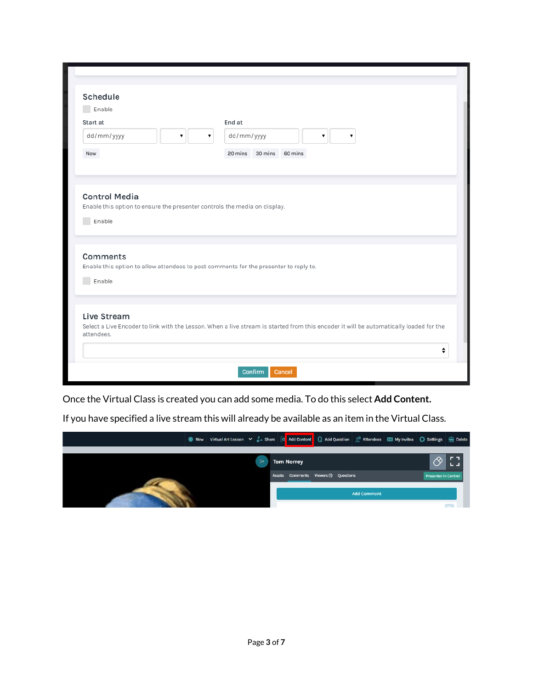| Schedule<br>Enable                         |                                                                                       |
|--------------------------------------------|---------------------------------------------------------------------------------------|
| Start at                                   | End at                                                                                |
| dd/mm/yyyy                                 | dd/mm/yyyy<br>۷.<br>۳.<br>۰.                                                          |
| Now                                        | 20 mins 30 mins 60 mins                                                               |
| Enable                                     | Enable this option to ensure the presenter controls the media on display.             |
| <b>Control Media</b><br>Comments<br>Enable | Enable this option to allow attendees to post comments for the presenter to reply to. |

Once the Virtual Class is created you can add some media. To do this select **Add Content.**

If you have specified a live stream this will already be available as an item in the Virtual Class.

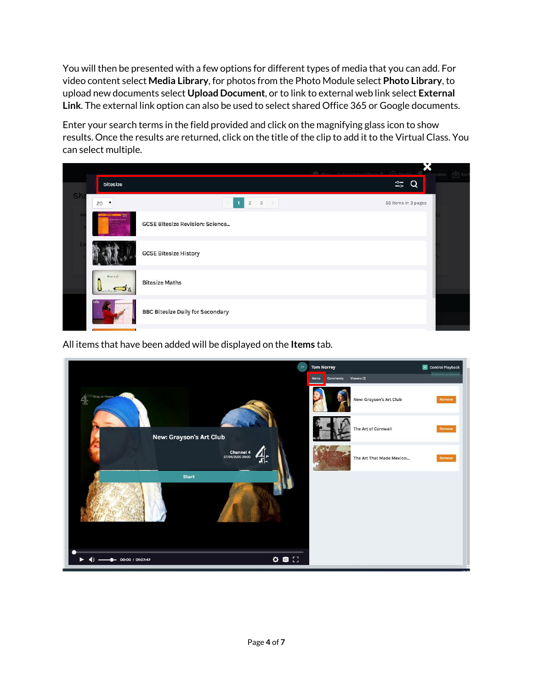You will then be presented with a few options for different types of media that you can add. For video content select **Media Library**, for photos from the Photo Module select **Photo Library**, to upload new documents select **Upload Document**, or to link to external web link select **External Link**. The external link option can also be used to select shared Office 365 or Google documents.

Enter your search terms in the field provided and click on the magnifying glass icon to show results. Once the results are returned, click on the title of the clip to add it to the Virtual Class. You can select multiple.

|    | bitesize                              |                                         | $\frac{1}{20}$<br>$\circ$ |  |
|----|---------------------------------------|-----------------------------------------|---------------------------|--|
| Sł | 20<br>$\overline{\phantom{a}}$        | $\bar{z}$<br>$\overline{3}$             | 56 items in 3 pages       |  |
|    |                                       | <b>GCSE Bitesize Revision: Science</b>  |                           |  |
|    |                                       | <b>GCSE Bitesize History</b>            |                           |  |
|    | $10 \text{ min} \approx 24$<br>0.4474 | <b>Bitesize Maths</b>                   |                           |  |
|    |                                       | <b>BBC Bitesize Daily for Secondary</b> |                           |  |

All items that have been added will be displayed on the **Items** tab.

|                                       | $\mathbf{J}^*$ | <b>Tom Norrey</b>             | <b>V</b> Control Playback |
|---------------------------------------|----------------|-------------------------------|---------------------------|
|                                       |                | Comments Viewers (1)<br>Items | Presenter in Control      |
| All HD Stay at Home                   |                | New: Grayson's Art Club       | Remove                    |
| <b>New: Grayson's Art Club</b>        |                | The Art of Cornwall           | Remove                    |
| Channel 4<br>27/04/2020 20:00         |                | The Art That Made Mexico:     | Remove                    |
| <b>Start</b>                          |                |                               |                           |
|                                       |                |                               |                           |
| $O \otimes C$<br>$-$ 00:00 / 01:07:47 |                |                               |                           |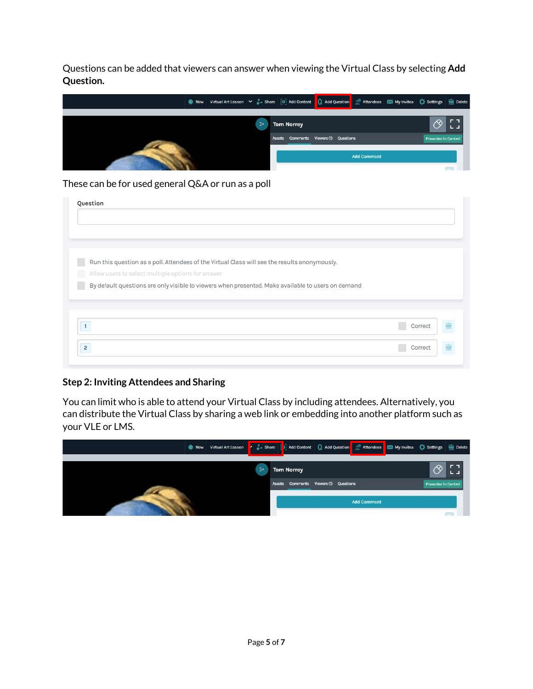Questions can be added that viewers can answer when viewing the Virtual Class by selecting **Add Question.**



#### These can be for used general Q&A or run as a poll

| Run this question as a poll. Attendees of the Virtual Class will see the results anonymously.      |                          |
|----------------------------------------------------------------------------------------------------|--------------------------|
| Allow users to select multiple options for answer                                                  |                          |
| By default questions are only visible to viewers when presented. Make available to users on demand |                          |
|                                                                                                    |                          |
|                                                                                                    |                          |
|                                                                                                    | 侖<br>Correct             |
|                                                                                                    |                          |
|                                                                                                    | $\frac{1}{m}$<br>Correct |

### **Step 2: Inviting Attendees and Sharing**

You can limit who is able to attend your Virtual Class by including attendees. Alternatively, you can distribute the Virtual Class by sharing a web link or embedding into another platform such as your VLE or LMS.

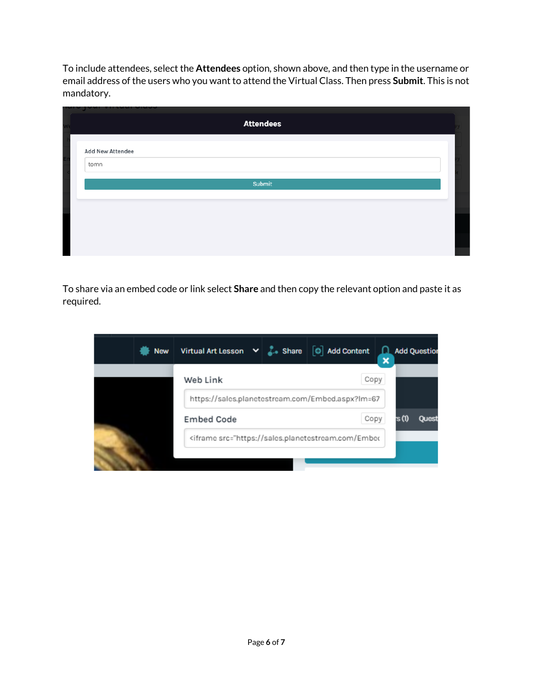To include attendees, select the **Attendees** option, shown above, and then type in the username or email address of the users who you want to attend the Virtual Class. Then press **Submit**. This is not mandatory.

|                  | <b>Attendees</b> |  |
|------------------|------------------|--|
| Add New Attendee |                  |  |
| tomn             |                  |  |
|                  | Submit           |  |
|                  |                  |  |
|                  |                  |  |
|                  |                  |  |
|                  |                  |  |

To share via an embed code or link select **Share** and then copy the relevant option and paste it as required.